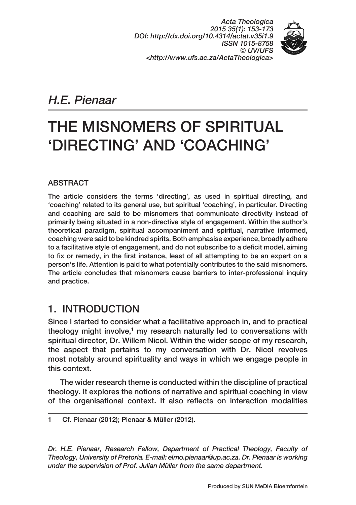*Acta Theologica 2015 35(1): 153‑173 DOI: http://dx.doi.org/10.4314/actat.v35i1.9 ISSN 1015‑8758 © UV/UFS <http://www.ufs.ac.za/ActaTheologica>*



*H.E. Pienaar*

# THE MISNOMERS OF SPIRITUAL 'DIRECTING' AND 'COACHING'

### **ABSTRACT**

The article considers the terms 'directing', as used in spiritual directing, and 'coaching' related to its general use, but spiritual 'coaching', in particular. Directing and coaching are said to be misnomers that communicate directivity instead of primarily being situated in a non‑directive style of engagement. Within the author's theoretical paradigm, spiritual accompaniment and spiritual, narrative informed, coaching were said to be kindred spirits. Both emphasise experience, broadly adhere to a facilitative style of engagement, and do not subscribe to a deficit model, aiming to fix or remedy, in the first instance, least of all attempting to be an expert on a person's life. Attention is paid to what potentially contributes to the said misnomers. The article concludes that misnomers cause barriers to inter-professional inquiry and practice.

## 1. INTRODUCTION

Since I started to consider what a facilitative approach in, and to practical theology might involve,<sup>1</sup> my research naturally led to conversations with spiritual director, Dr. Willem Nicol. Within the wider scope of my research, the aspect that pertains to my conversation with Dr. Nicol revolves most notably around spirituality and ways in which we engage people in this context.

The wider research theme is conducted within the discipline of practical theology. It explores the notions of narrative and spiritual coaching in view of the organisational context. It also reflects on interaction modalities

1 Cf. Pienaar (2012); Pienaar & Müller (2012).

*Dr. H.E. Pienaar, Research Fellow, Department of Practical Theology, Faculty of Theology, University of Pretoria. E‑mail: elmo.pienaar@up.ac.za. Dr. Pienaar is working under the supervision of Prof. Julian Müller from the same department.*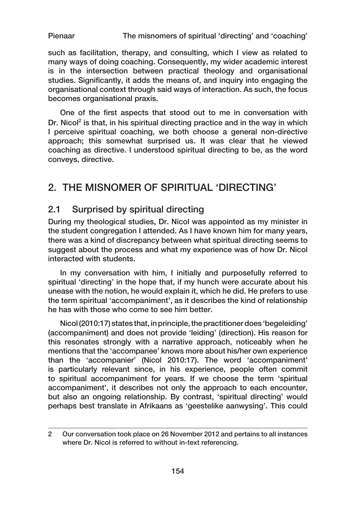such as facilitation, therapy, and consulting, which I view as related to many ways of doing coaching. Consequently, my wider academic interest is in the intersection between practical theology and organisational studies. Significantly, it adds the means of, and inquiry into engaging the organisational context through said ways of interaction. As such, the focus becomes organisational praxis.

One of the first aspects that stood out to me in conversation with Dr. Nicol<sup>2</sup> is that, in his spiritual directing practice and in the way in which I perceive spiritual coaching, we both choose a general non‑directive approach; this somewhat surprised us. It was clear that he viewed coaching as directive. I understood spiritual directing to be, as the word conveys, directive.

## 2. THE MISNOMER OF SPIRITUAL 'DIRECTING'

## 2.1 Surprised by spiritual directing

During my theological studies, Dr. Nicol was appointed as my minister in the student congregation I attended. As I have known him for many years, there was a kind of discrepancy between what spiritual directing seems to suggest about the process and what my experience was of how Dr. Nicol interacted with students.

In my conversation with him, I initially and purposefully referred to spiritual 'directing' in the hope that, if my hunch were accurate about his unease with the notion, he would explain it, which he did. He prefers to use the term spiritual 'accompaniment', as it describes the kind of relationship he has with those who come to see him better.

Nicol (2010:17) states that, in principle, the practitioner does 'begeleiding' (accompaniment) and does not provide 'leiding' (direction). His reason for this resonates strongly with a narrative approach, noticeably when he mentions that the 'accompanee' knows more about his/her own experience than the 'accompanier' (Nicol 2010:17). The word 'accompaniment' is particularly relevant since, in his experience, people often commit to spiritual accompaniment for years. If we choose the term 'spiritual accompaniment', it describes not only the approach to each encounter, but also an ongoing relationship. By contrast, 'spiritual directing' would perhaps best translate in Afrikaans as 'geestelike aanwysing'. This could

<sup>2</sup> Our conversation took place on 26 November 2012 and pertains to all instances where Dr. Nicol is referred to without in-text referencing.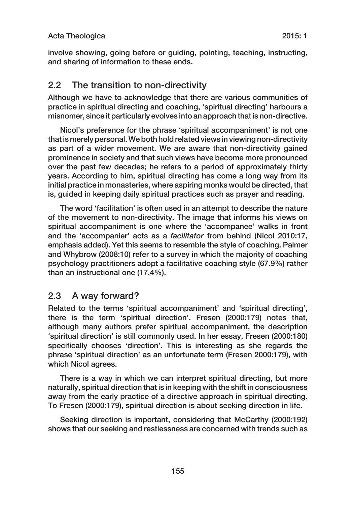involve showing, going before or guiding, pointing, teaching, instructing, and sharing of information to these ends.

## 2.2 The transition to non-directivity

Although we have to acknowledge that there are various communities of practice in spiritual directing and coaching, 'spiritual directing' harbours a misnomer, since it particularly evolves into an approach that is non-directive.

Nicol's preference for the phrase 'spiritual accompaniment' is not one that is merely personal. We both hold related views in viewing non‑directivity as part of a wider movement. We are aware that non-directivity gained prominence in society and that such views have become more pronounced over the past few decades; he refers to a period of approximately thirty years. According to him, spiritual directing has come a long way from its initial practice in monasteries, where aspiring monks would be directed, that is, guided in keeping daily spiritual practices such as prayer and reading.

The word 'facilitation' is often used in an attempt to describe the nature of the movement to non-directivity. The image that informs his views on spiritual accompaniment is one where the 'accompanee' walks in front and the 'accompanier' acts as a *facilitator* from behind (Nicol 2010:17, emphasis added). Yet this seems to resemble the style of coaching. Palmer and Whybrow (2008:10) refer to a survey in which the majority of coaching psychology practitioners adopt a facilitative coaching style (67.9%) rather than an instructional one (17.4%).

## 2.3 A way forward?

Related to the terms 'spiritual accompaniment' and 'spiritual directing', there is the term 'spiritual direction'. Fresen (2000:179) notes that, although many authors prefer spiritual accompaniment, the description 'spiritual direction' is still commonly used. In her essay, Fresen (2000:180) specifically chooses 'direction'. This is interesting as she regards the phrase 'spiritual direction' as an unfortunate term (Fresen 2000:179), with which Nicol agrees.

There is a way in which we can interpret spiritual directing, but more naturally, spiritual direction that is in keeping with the shift in consciousness away from the early practice of a directive approach in spiritual directing. To Fresen (2000:179), spiritual direction is about seeking direction in life.

Seeking direction is important, considering that McCarthy (2000:192) shows that our seeking and restlessness are concerned with trends such as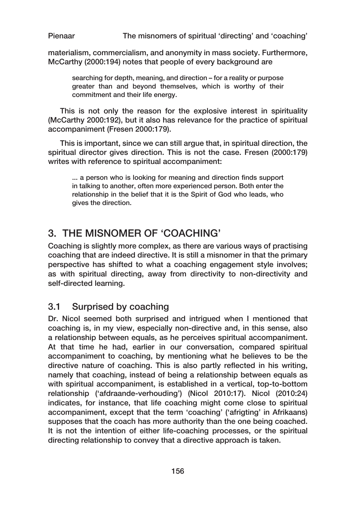materialism, commercialism, and anonymity in mass society. Furthermore, McCarthy (2000:194) notes that people of every background are

searching for depth, meaning, and direction – for a reality or purpose greater than and beyond themselves, which is worthy of their commitment and their life energy.

This is not only the reason for the explosive interest in spirituality (McCarthy 2000:192), but it also has relevance for the practice of spiritual accompaniment (Fresen 2000:179).

This is important, since we can still argue that, in spiritual direction, the spiritual director gives direction. This is not the case. Fresen (2000:179) writes with reference to spiritual accompaniment:

... a person who is looking for meaning and direction finds support in talking to another, often more experienced person. Both enter the relationship in the belief that it is the Spirit of God who leads, who gives the direction.

## 3. THE MISNOMER OF 'COACHING'

Coaching is slightly more complex, as there are various ways of practising coaching that are indeed directive. It is still a misnomer in that the primary perspective has shifted to what a coaching engagement style involves; as with spiritual directing, away from directivity to non-directivity and self-directed learning.

## 3.1 Surprised by coaching

Dr. Nicol seemed both surprised and intrigued when I mentioned that coaching is, in my view, especially non‑directive and, in this sense, also a relationship between equals, as he perceives spiritual accompaniment. At that time he had, earlier in our conversation, compared spiritual accompaniment to coaching, by mentioning what he believes to be the directive nature of coaching. This is also partly reflected in his writing, namely that coaching, instead of being a relationship between equals as with spiritual accompaniment, is established in a vertical, top-to-bottom relationship ('afdraande‑verhouding') (Nicol 2010:17). Nicol (2010:24) indicates, for instance, that life coaching might come close to spiritual accompaniment, except that the term 'coaching' ('afrigting' in Afrikaans) supposes that the coach has more authority than the one being coached. It is not the intention of either life-coaching processes, or the spiritual directing relationship to convey that a directive approach is taken.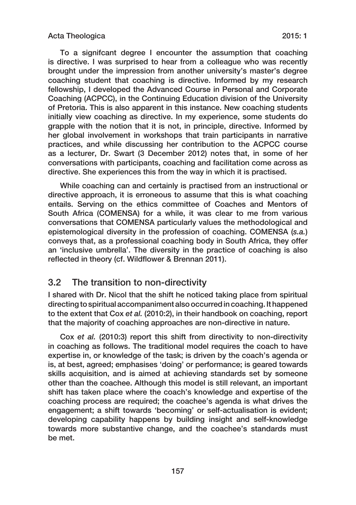To a signifcant degree I encounter the assumption that coaching is directive. I was surprised to hear from a colleague who was recently brought under the impression from another university's master's degree coaching student that coaching is directive. Informed by my research fellowship, I developed the Advanced Course in Personal and Corporate Coaching (ACPCC), in the Continuing Education division of the University of Pretoria. This is also apparent in this instance. New coaching students initially view coaching as directive. In my experience, some students do grapple with the notion that it is not, in principle, directive. Informed by her global involvement in workshops that train participants in narrative practices, and while discussing her contribution to the ACPCC course as a lecturer, Dr. Swart (3 December 2012) notes that, in some of her conversations with participants, coaching and facilitation come across as directive. She experiences this from the way in which it is practised.

While coaching can and certainly is practised from an instructional or directive approach, it is erroneous to assume that this is what coaching entails. Serving on the ethics committee of Coaches and Mentors of South Africa (COMENSA) for a while, it was clear to me from various conversations that COMENSA particularly values the methodological and epistemological diversity in the profession of coaching. COMENSA (*s.a.*) conveys that, as a professional coaching body in South Africa, they offer an 'inclusive umbrella'. The diversity in the practice of coaching is also reflected in theory (cf. Wildflower & Brennan 2011).

## 3.2 The transition to non-directivity

I shared with Dr. Nicol that the shift he noticed taking place from spiritual directing to spiritual accompaniment also occurred in coaching. It happened to the extent that Cox *et al.* (2010:2), in their handbook on coaching, report that the majority of coaching approaches are non‑directive in nature.

Cox *et al.* (2010:3) report this shift from directivity to non-directivity in coaching as follows. The traditional model requires the coach to have expertise in, or knowledge of the task; is driven by the coach's agenda or is, at best, agreed; emphasises 'doing' or performance; is geared towards skills acquisition, and is aimed at achieving standards set by someone other than the coachee. Although this model is still relevant, an important shift has taken place where the coach's knowledge and expertise of the coaching process are required; the coachee's agenda is what drives the engagement; a shift towards 'becoming' or self-actualisation is evident; developing capability happens by building insight and self-knowledge towards more substantive change, and the coachee's standards must be met.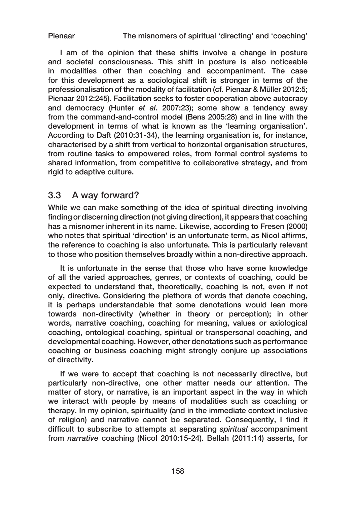I am of the opinion that these shifts involve a change in posture and societal consciousness. This shift in posture is also noticeable in modalities other than coaching and accompaniment. The case for this development as a sociological shift is stronger in terms of the professionalisation of the modality of facilitation (cf. Pienaar & Müller 2012:5; Pienaar 2012:245). Facilitation seeks to foster cooperation above autocracy and democracy (Hunter *et al*. 2007:23); some show a tendency away from the command-and-control model (Bens 2005:28) and in line with the development in terms of what is known as the 'learning organisation'. According to Daft (2010:31‑34), the learning organisation is, for instance, characterised by a shift from vertical to horizontal organisation structures, from routine tasks to empowered roles, from formal control systems to shared information, from competitive to collaborative strategy, and from rigid to adaptive culture.

## 3.3 A way forward?

While we can make something of the idea of spiritual directing involving finding or discerning direction (not giving direction), it appears that coaching has a misnomer inherent in its name. Likewise, according to Fresen (2000) who notes that spiritual 'direction' is an unfortunate term, as Nicol affirms, the reference to coaching is also unfortunate. This is particularly relevant to those who position themselves broadly within a non-directive approach.

It is unfortunate in the sense that those who have some knowledge of all the varied approaches, genres, or contexts of coaching, could be expected to understand that, theoretically, coaching is not, even if not only, directive. Considering the plethora of words that denote coaching, it is perhaps understandable that some denotations would lean more towards non‑directivity (whether in theory or perception); in other words, narrative coaching, coaching for meaning, values or axiological coaching, ontological coaching, spiritual or transpersonal coaching, and developmental coaching. However, other denotations such as performance coaching or business coaching might strongly conjure up associations of directivity.

If we were to accept that coaching is not necessarily directive, but particularly non-directive, one other matter needs our attention. The matter of story, or narrative, is an important aspect in the way in which we interact with people by means of modalities such as coaching or therapy. In my opinion, spirituality (and in the immediate context inclusive of religion) and narrative cannot be separated. Consequently, I find it difficult to subscribe to attempts at separating *spiritual* accompaniment from *narrative* coaching (Nicol 2010:15‑24). Bellah (2011:14) asserts, for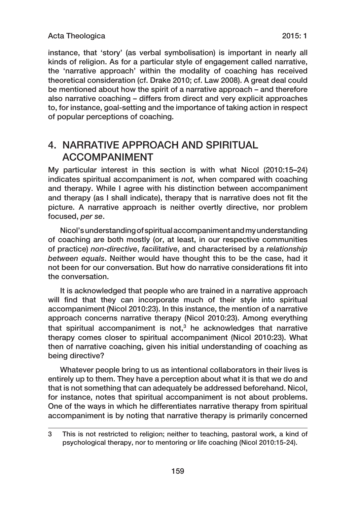instance, that 'story' (as verbal symbolisation) is important in nearly all kinds of religion. As for a particular style of engagement called narrative, the 'narrative approach' within the modality of coaching has received theoretical consideration (cf. Drake 2010; cf. Law 2008). A great deal could be mentioned about how the spirit of a narrative approach – and therefore also narrative coaching – differs from direct and very explicit approaches to, for instance, goal‑setting and the importance of taking action in respect of popular perceptions of coaching.

## 4. NARRATIVE APPROACH AND SPIRITUAL ACCOMPANIMENT

My particular interest in this section is with what Nicol (2010:15–24) indicates spiritual accompaniment is *not,* when compared with coaching and therapy. While I agree with his distinction between accompaniment and therapy (as I shall indicate), therapy that is narrative does not fit the picture. A narrative approach is neither overtly directive, nor problem focused, *per se*.

Nicol's understanding of spiritual accompaniment and my understanding of coaching are both mostly (or, at least, in our respective communities of practice) *non‑directive*, *facilitative*, and characterised by a *relationship between equals*. Neither would have thought this to be the case, had it not been for our conversation. But how do narrative considerations fit into the conversation.

It is acknowledged that people who are trained in a narrative approach will find that they can incorporate much of their style into spiritual accompaniment (Nicol 2010:23). In this instance, the mention of a narrative approach concerns narrative therapy (Nicol 2010:23). Among everything that spiritual accompaniment is not, $3$  he acknowledges that narrative therapy comes closer to spiritual accompaniment (Nicol 2010:23). What then of narrative coaching, given his initial understanding of coaching as being directive?

Whatever people bring to us as intentional collaborators in their lives is entirely up to them. They have a perception about what it is that we do and that is not something that can adequately be addressed beforehand. Nicol, for instance, notes that spiritual accompaniment is not about problems. One of the ways in which he differentiates narrative therapy from spiritual accompaniment is by noting that narrative therapy is primarily concerned

<sup>3</sup> This is not restricted to religion; neither to teaching, pastoral work, a kind of psychological therapy, nor to mentoring or life coaching (Nicol 2010:15‑24).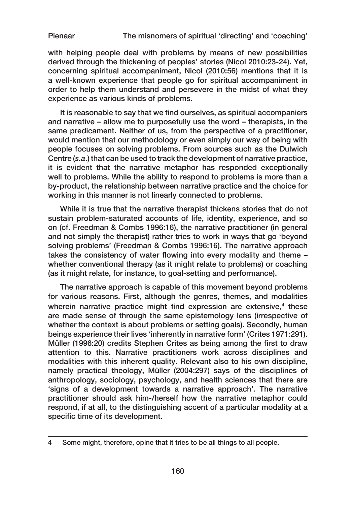with helping people deal with problems by means of new possibilities derived through the thickening of peoples' stories (Nicol 2010:23‑24). Yet, concerning spiritual accompaniment, Nicol (2010:56) mentions that it is a well‑known experience that people go for spiritual accompaniment in order to help them understand and persevere in the midst of what they experience as various kinds of problems.

It is reasonable to say that we find ourselves, as spiritual accompaniers and narrative – allow me to purposefully use the word – therapists, in the same predicament. Neither of us, from the perspective of a practitioner, would mention that our methodology or even simply our way of being with people focuses on solving problems. From sources such as the Dulwich Centre (*s.a*.) that can be used to track the development of narrative practice, it is evident that the narrative metaphor has responded exceptionally well to problems. While the ability to respond to problems is more than a by‑product, the relationship between narrative practice and the choice for working in this manner is not linearly connected to problems.

While it is true that the narrative therapist thickens stories that do not sustain problem‑saturated accounts of life, identity, experience, and so on (cf. Freedman & Combs 1996:16), the narrative practitioner (in general and not simply the therapist) rather tries to work in ways that go 'beyond solving problems' (Freedman & Combs 1996:16). The narrative approach takes the consistency of water flowing into every modality and theme – whether conventional therapy (as it might relate to problems) or coaching (as it might relate, for instance, to goal-setting and performance).

The narrative approach is capable of this movement beyond problems for various reasons. First, although the genres, themes, and modalities wherein narrative practice might find expression are extensive,<sup>4</sup> these are made sense of through the same epistemology lens (irrespective of whether the context is about problems or setting goals). Secondly, human beings experience their lives 'inherently in narrative form' (Crites 1971:291). Müller (1996:20) credits Stephen Crites as being among the first to draw attention to this. Narrative practitioners work across disciplines and modalities with this inherent quality. Relevant also to his own discipline, namely practical theology, Müller (2004:297) says of the disciplines of anthropology, sociology, psychology, and health sciences that there are 'signs of a development towards a narrative approach'. The narrative practitioner should ask him‑/herself how the narrative metaphor could respond, if at all, to the distinguishing accent of a particular modality at a specific time of its development.

<sup>4</sup> Some might, therefore, opine that it tries to be all things to all people.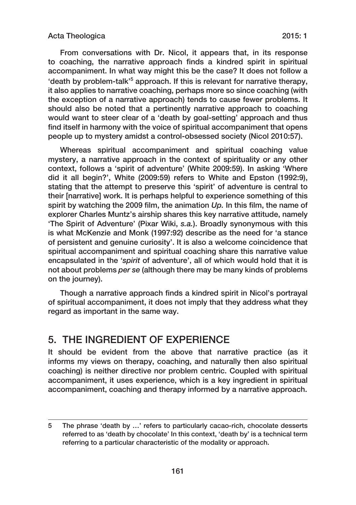From conversations with Dr. Nicol, it appears that, in its response to coaching, the narrative approach finds a kindred spirit in spiritual accompaniment. In what way might this be the case? It does not follow a 'death by problem-talk<sup>15</sup> approach. If this is relevant for narrative therapy, it also applies to narrative coaching, perhaps more so since coaching (with the exception of a narrative approach) tends to cause fewer problems. It should also be noted that a pertinently narrative approach to coaching would want to steer clear of a 'death by goal-setting' approach and thus find itself in harmony with the voice of spiritual accompaniment that opens people up to mystery amidst a control‑obsessed society (Nicol 2010:57).

Whereas spiritual accompaniment and spiritual coaching value mystery, a narrative approach in the context of spirituality or any other context, follows a 'spirit of adventure' (White 2009:59). In asking 'Where did it all begin?', White (2009:59) refers to White and Epston (1992:9), stating that the attempt to preserve this 'spirit' of adventure is central to their [narrative] work. It is perhaps helpful to experience something of this spirit by watching the 2009 film, the animation *Up.* In this film, the name of explorer Charles Muntz's airship shares this key narrative attitude, namely 'The Spirit of Adventure' (Pixar Wiki, *s.a.*). Broadly synonymous with this is what McKenzie and Monk (1997:92) describe as the need for 'a stance of persistent and genuine curiosity'. It is also a welcome coincidence that spiritual accompaniment and spiritual coaching share this narrative value encapsulated in the '*spirit* of adventure', all of which would hold that it is not about problems *per se* (although there may be many kinds of problems on the journey).

Though a narrative approach finds a kindred spirit in Nicol's portrayal of spiritual accompaniment, it does not imply that they address what they regard as important in the same way.

## 5. THE INGREDIENT OF EXPERIENCE

It should be evident from the above that narrative practice (as it informs my views on therapy, coaching, and naturally then also spiritual coaching) is neither directive nor problem centric. Coupled with spiritual accompaniment, it uses experience, which is a key ingredient in spiritual accompaniment, coaching and therapy informed by a narrative approach.

<sup>5</sup> The phrase 'death by ...' refers to particularly cacao-rich, chocolate desserts referred to as 'death by chocolate' In this context, 'death by' is a technical term referring to a particular characteristic of the modality or approach.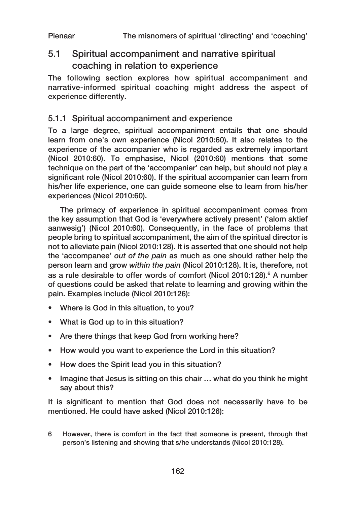## 5.1 Spiritual accompaniment and narrative spiritual coaching in relation to experience

The following section explores how spiritual accompaniment and narrative‑informed spiritual coaching might address the aspect of experience differently.

## 5.1.1 Spiritual accompaniment and experience

To a large degree, spiritual accompaniment entails that one should learn from one's own experience (Nicol 2010:60). It also relates to the experience of the accompanier who is regarded as extremely important (Nicol 2010:60). To emphasise, Nicol (2010:60) mentions that some technique on the part of the 'accompanier' can help, but should not play a significant role (Nicol 2010:60). If the spiritual accompanier can learn from his/her life experience, one can guide someone else to learn from his/her experiences (Nicol 2010:60).

The primacy of experience in spiritual accompaniment comes from the key assumption that God is 'everywhere actively present' ('alom aktief aanwesig') (Nicol 2010:60). Consequently, in the face of problems that people bring to spiritual accompaniment, the aim of the spiritual director is not to alleviate pain (Nicol 2010:128). It is asserted that one should not help the 'accompanee' *out of the pain* as much as one should rather help the person learn and grow *within the pain* (Nicol 2010:128). It is, therefore, not as a rule desirable to offer words of comfort (Nicol 2010:128).<sup>6</sup> A number of questions could be asked that relate to learning and growing within the pain. Examples include (Nicol 2010:126):

- Where is God in this situation, to you?
- What is God up to in this situation?
- Are there things that keep God from working here?
- How would you want to experience the Lord in this situation?
- How does the Spirit lead you in this situation?
- Imagine that Jesus is sitting on this chair ... what do you think he might say about this?

It is significant to mention that God does not necessarily have to be mentioned. He could have asked (Nicol 2010:126):

<sup>6</sup> However, there is comfort in the fact that someone is present, through that person's listening and showing that s/he understands (Nicol 2010:128).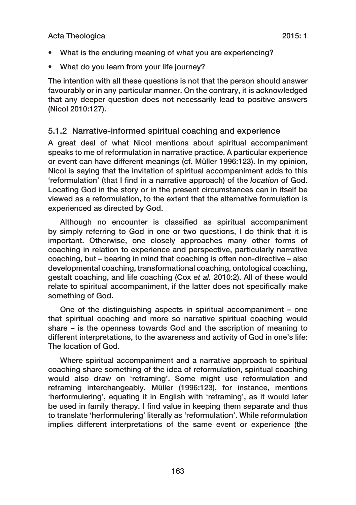#### Acta Theologica 2015: 1

- What is the enduring meaning of what you are experiencing?
- What do you learn from your life journey?

The intention with all these questions is not that the person should answer favourably or in any particular manner. On the contrary, it is acknowledged that any deeper question does not necessarily lead to positive answers (Nicol 2010:127).

## 5.1.2 Narrative‑informed spiritual coaching and experience

A great deal of what Nicol mentions about spiritual accompaniment speaks to me of reformulation in narrative practice. A particular experience or event can have different meanings (cf. Müller 1996:123). In my opinion, Nicol is saying that the invitation of spiritual accompaniment adds to this 'reformulation' (that I find in a narrative approach) of the *location* of God. Locating God in the story or in the present circumstances can in itself be viewed as a reformulation, to the extent that the alternative formulation is experienced as directed by God.

Although no encounter is classified as spiritual accompaniment by simply referring to God in one or two questions, I do think that it is important. Otherwise, one closely approaches many other forms of coaching in relation to experience and perspective, particularly narrative coaching, but – bearing in mind that coaching is often non-directive – also developmental coaching, transformational coaching, ontological coaching, gestalt coaching, and life coaching (Cox *et al.* 2010:2). All of these would relate to spiritual accompaniment, if the latter does not specifically make something of God.

One of the distinguishing aspects in spiritual accompaniment – one that spiritual coaching and more so narrative spiritual coaching would share – is the openness towards God and the ascription of meaning to different interpretations, to the awareness and activity of God in one's life: The location of God.

Where spiritual accompaniment and a narrative approach to spiritual coaching share something of the idea of reformulation, spiritual coaching would also draw on 'reframing'. Some might use reformulation and reframing interchangeably. Müller (1996:123), for instance, mentions 'herformulering', equating it in English with 'reframing', as it would later be used in family therapy. I find value in keeping them separate and thus to translate 'herformulering' literally as 'reformulation'. While reformulation implies different interpretations of the same event or experience (the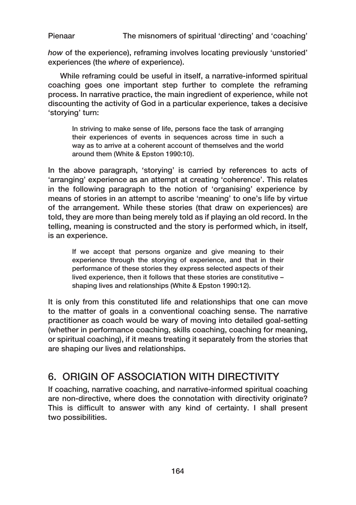*how* of the experience), reframing involves locating previously 'unstoried' experiences (the *where* of experience).

While reframing could be useful in itself, a narrative-informed spiritual coaching goes one important step further to complete the reframing process. In narrative practice, the main ingredient of experience, while not discounting the activity of God in a particular experience, takes a decisive 'storying' turn:

In striving to make sense of life, persons face the task of arranging their experiences of events in sequences across time in such a way as to arrive at a coherent account of themselves and the world around them (White & Epston 1990:10).

In the above paragraph, 'storying' is carried by references to acts of 'arranging' experience as an attempt at creating 'coherence'. This relates in the following paragraph to the notion of 'organising' experience by means of stories in an attempt to ascribe 'meaning' to one's life by virtue of the arrangement. While these stories (that draw on experiences) are told, they are more than being merely told as if playing an old record. In the telling, meaning is constructed and the story is performed which, in itself, is an experience.

If we accept that persons organize and give meaning to their experience through the storying of experience, and that in their performance of these stories they express selected aspects of their lived experience, then it follows that these stories are constitutive – shaping lives and relationships (White & Epston 1990:12).

It is only from this constituted life and relationships that one can move to the matter of goals in a conventional coaching sense. The narrative practitioner as coach would be wary of moving into detailed goal‑setting (whether in performance coaching, skills coaching, coaching for meaning, or spiritual coaching), if it means treating it separately from the stories that are shaping our lives and relationships.

## 6. ORIGIN OF ASSOCIATION WITH DIRECTIVITY

If coaching, narrative coaching, and narrative-informed spiritual coaching are non‑directive, where does the connotation with directivity originate? This is difficult to answer with any kind of certainty. I shall present two possibilities.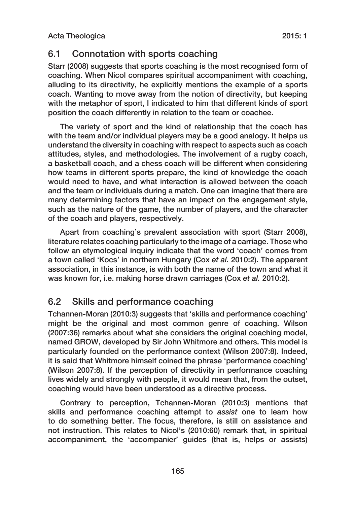## 6.1 Connotation with sports coaching

Starr (2008) suggests that sports coaching is the most recognised form of coaching. When Nicol compares spiritual accompaniment with coaching, alluding to its directivity, he explicitly mentions the example of a sports coach. Wanting to move away from the notion of directivity, but keeping with the metaphor of sport, I indicated to him that different kinds of sport position the coach differently in relation to the team or coachee.

The variety of sport and the kind of relationship that the coach has with the team and/or individual players may be a good analogy. It helps us understand the diversity in coaching with respect to aspects such as coach attitudes, styles, and methodologies. The involvement of a rugby coach, a basketball coach, and a chess coach will be different when considering how teams in different sports prepare, the kind of knowledge the coach would need to have, and what interaction is allowed between the coach and the team or individuals during a match. One can imagine that there are many determining factors that have an impact on the engagement style, such as the nature of the game, the number of players, and the character of the coach and players, respectively.

Apart from coaching's prevalent association with sport (Starr 2008), literature relates coaching particularly to the image of a carriage. Those who follow an etymological inquiry indicate that the word 'coach' comes from a town called 'Kocs' in northern Hungary (Cox *et al.* 2010:2). The apparent association, in this instance, is with both the name of the town and what it was known for, i.e. making horse drawn carriages (Cox *et al.* 2010:2).

## 6.2 Skills and performance coaching

Tchannen‑Moran (2010:3) suggests that 'skills and performance coaching' might be the original and most common genre of coaching. Wilson (2007:36) remarks about what she considers the original coaching model, named GROW, developed by Sir John Whitmore and others. This model is particularly founded on the performance context (Wilson 2007:8). Indeed, it is said that Whitmore himself coined the phrase 'performance coaching' (Wilson 2007:8). If the perception of directivity in performance coaching lives widely and strongly with people, it would mean that, from the outset, coaching would have been understood as a directive process.

Contrary to perception, Tchannen‑Moran (2010:3) mentions that skills and performance coaching attempt to *assist* one to learn how to do something better. The focus, therefore, is still on assistance and not instruction. This relates to Nicol's (2010:60) remark that, in spiritual accompaniment, the 'accompanier' guides (that is, helps or assists)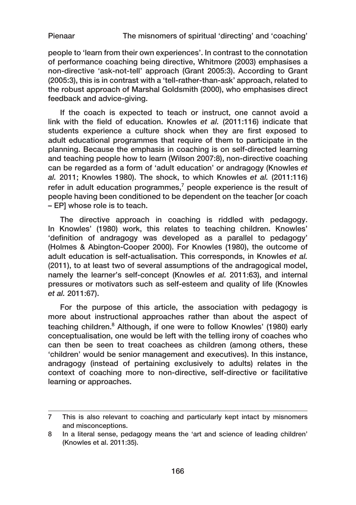people to 'learn from their own experiences'. In contrast to the connotation of performance coaching being directive, Whitmore (2003) emphasises a non-directive 'ask-not-tell' approach (Grant 2005:3). According to Grant (2005:3), this is in contrast with a 'tell-rather-than-ask' approach, related to the robust approach of Marshal Goldsmith (2000), who emphasises direct feedback and advice-giving.

If the coach is expected to teach or instruct, one cannot avoid a link with the field of education. Knowles *et al.* (2011:116) indicate that students experience a culture shock when they are first exposed to adult educational programmes that require of them to participate in the planning. Because the emphasis in coaching is on self-directed learning and teaching people how to learn (Wilson 2007:8), non‑directive coaching can be regarded as a form of 'adult education' or andragogy (Knowles *et al.* 2011; Knowles 1980). The shock, to which Knowles *et al.* (2011:116) refer in adult education programmes,<sup>7</sup> people experience is the result of people having been conditioned to be dependent on the teacher [or coach – EP] whose role is to teach.

The directive approach in coaching is riddled with pedagogy. In Knowles' (1980) work, this relates to teaching children. Knowles' 'definition of andragogy was developed as a parallel to pedagogy' (Holmes & Abington‑Cooper 2000). For Knowles (1980), the outcome of adult education is self‑actualisation. This corresponds, in Knowles *et al.*  (2011), to at least two of several assumptions of the andragogical model, namely the learner's self-concept (Knowles *et al.* 2011:63), and internal pressures or motivators such as self‑esteem and quality of life (Knowles *et al.* 2011:67).

For the purpose of this article, the association with pedagogy is more about instructional approaches rather than about the aspect of teaching children.<sup>8</sup> Although, if one were to follow Knowles' (1980) early conceptualisation, one would be left with the telling irony of coaches who can then be seen to treat coachees as children (among others, these 'children' would be senior management and executives). In this instance, andragogy (instead of pertaining exclusively to adults) relates in the context of coaching more to non-directive, self-directive or facilitative learning or approaches.

<sup>7</sup> This is also relevant to coaching and particularly kept intact by misnomers and misconceptions.

<sup>8</sup> In a literal sense, pedagogy means the 'art and science of leading children' (Knowles et al. 2011:35).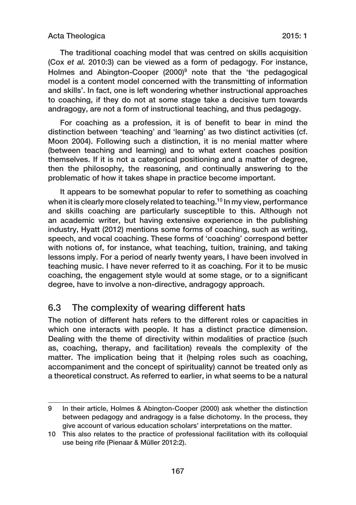#### Acta Theologica 2015: 1

The traditional coaching model that was centred on skills acquisition (Cox *et al.* 2010:3) can be viewed as a form of pedagogy. For instance, Holmes and Abington-Cooper (2000)<sup>9</sup> note that the 'the pedagogical model is a content model concerned with the transmitting of information and skills'. In fact, one is left wondering whether instructional approaches to coaching, if they do not at some stage take a decisive turn towards andragogy, are not a form of instructional teaching, and thus pedagogy.

For coaching as a profession, it is of benefit to bear in mind the distinction between 'teaching' and 'learning' as two distinct activities (cf. Moon 2004). Following such a distinction, it is no menial matter where (between teaching and learning) and to what extent coaches position themselves. If it is not a categorical positioning and a matter of degree, then the philosophy, the reasoning, and continually answering to the problematic of how it takes shape in practice become important.

It appears to be somewhat popular to refer to something as coaching when it is clearly more closely related to teaching.<sup>10</sup> In my view, performance and skills coaching are particularly susceptible to this. Although not an academic writer, but having extensive experience in the publishing industry, Hyatt (2012) mentions some forms of coaching, such as writing, speech, and vocal coaching. These forms of 'coaching' correspond better with notions of, for instance, what teaching, tuition, training, and taking lessons imply. For a period of nearly twenty years, I have been involved in teaching music. I have never referred to it as coaching. For it to be music coaching, the engagement style would at some stage, or to a significant degree, have to involve a non-directive, andragogy approach.

## 6.3 The complexity of wearing different hats

The notion of different hats refers to the different roles or capacities in which one interacts with people. It has a distinct practice dimension. Dealing with the theme of directivity within modalities of practice (such as, coaching, therapy, and facilitation) reveals the complexity of the matter. The implication being that it (helping roles such as coaching, accompaniment and the concept of spirituality) cannot be treated only as a theoretical construct. As referred to earlier, in what seems to be a natural

<sup>9</sup> In their article, Holmes & Abington‑Cooper (2000) ask whether the distinction between pedagogy and andragogy is a false dichotomy. In the process, they give account of various education scholars' interpretations on the matter.

<sup>10</sup> This also relates to the practice of professional facilitation with its colloquial use being rife (Pienaar & Müller 2012:2).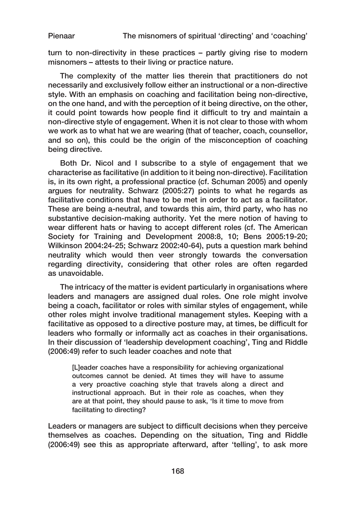turn to non-directivity in these practices – partly giving rise to modern misnomers – attests to their living or practice nature.

The complexity of the matter lies therein that practitioners do not necessarily and exclusively follow either an instructional or a non‑directive style. With an emphasis on coaching and facilitation being non-directive, on the one hand, and with the perception of it being directive, on the other, it could point towards how people find it difficult to try and maintain a non‑directive style of engagement. When it is not clear to those with whom we work as to what hat we are wearing (that of teacher, coach, counsellor, and so on), this could be the origin of the misconception of coaching being directive.

Both Dr. Nicol and I subscribe to a style of engagement that we characterise as facilitative (in addition to it being non‑directive). Facilitation is, in its own right, a professional practice (cf. Schuman 2005) and openly argues for neutrality. Schwarz (2005:27) points to what he regards as facilitative conditions that have to be met in order to act as a facilitator. These are being a-neutral, and towards this aim, third party, who has no substantive decision‑making authority. Yet the mere notion of having to wear different hats or having to accept different roles (cf. The American Society for Training and Development 2008:8, 10; Bens 2005:19-20; Wilkinson 2004:24‑25; Schwarz 2002:40‑64), puts a question mark behind neutrality which would then veer strongly towards the conversation regarding directivity, considering that other roles are often regarded as unavoidable.

The intricacy of the matter is evident particularly in organisations where leaders and managers are assigned dual roles. One role might involve being a coach, facilitator or roles with similar styles of engagement, while other roles might involve traditional management styles. Keeping with a facilitative as opposed to a directive posture may, at times, be difficult for leaders who formally or informally act as coaches in their organisations. In their discussion of 'leadership development coaching', Ting and Riddle (2006:49) refer to such leader coaches and note that

[L]eader coaches have a responsibility for achieving organizational outcomes cannot be denied. At times they will have to assume a very proactive coaching style that travels along a direct and instructional approach. But in their role as coaches, when they are at that point, they should pause to ask, 'Is it time to move from facilitating to directing?

Leaders or managers are subject to difficult decisions when they perceive themselves as coaches. Depending on the situation, Ting and Riddle (2006:49) see this as appropriate afterward, after 'telling', to ask more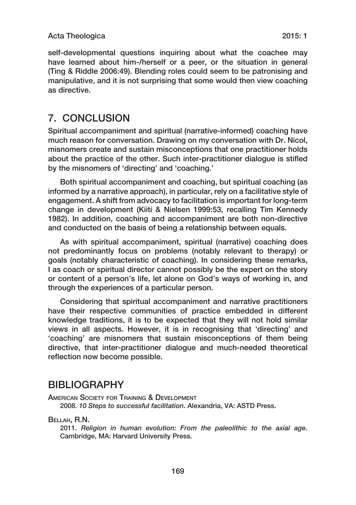self-developmental questions inquiring about what the coachee may have learned about him-/herself or a peer, or the situation in general (Ting & Riddle 2006:49). Blending roles could seem to be patronising and manipulative, and it is not surprising that some would then view coaching as directive.

## 7. CONCLUSION

Spiritual accompaniment and spiritual (narrative-informed) coaching have much reason for conversation. Drawing on my conversation with Dr. Nicol, misnomers create and sustain misconceptions that one practitioner holds about the practice of the other. Such inter‑practitioner dialogue is stifled by the misnomers of 'directing' and 'coaching.'

Both spiritual accompaniment and coaching, but spiritual coaching (as informed by a narrative approach), in particular, rely on a facilitative style of engagement. A shift from advocacy to facilitation is important for long-term change in development (Kiiti & Nielsen 1999:53, recalling Tim Kennedy 1982). In addition, coaching and accompaniment are both non-directive and conducted on the basis of being a relationship between equals.

As with spiritual accompaniment, spiritual (narrative) coaching does not predominantly focus on problems (notably relevant to therapy) or goals (notably characteristic of coaching). In considering these remarks, I as coach or spiritual director cannot possibly be the expert on the story or content of a person's life, let alone on God's ways of working in, and through the experiences of a particular person.

Considering that spiritual accompaniment and narrative practitioners have their respective communities of practice embedded in different knowledge traditions, it is to be expected that they will not hold similar views in all aspects. However, it is in recognising that 'directing' and 'coaching' are misnomers that sustain misconceptions of them being directive, that inter‑practitioner dialogue and much‑needed theoretical reflection now become possible.

## **BIBLIOGRAPHY**

American Society for Training & Development 2008. *10 Steps to successful facilitation*. Alexandria, VA: ASTD Press.

Bellah, R.N.

2011. *Religion in human evolution: From the paleolithic to the axial age*. Cambridge, MA: Harvard University Press.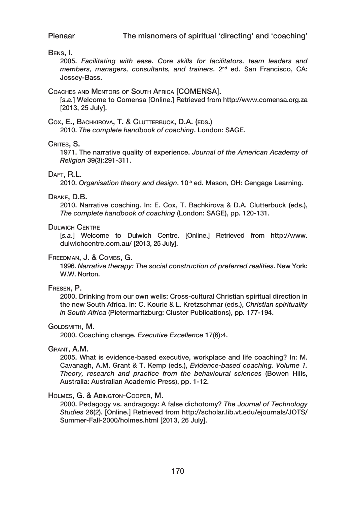#### Bens, I.

2005. *Facilitating with ease. Core skills for facilitators, team leaders and members, managers, consultants, and trainers*. 2nd ed. San Francisco, CA: Jossey‑Bass.

#### Coaches and Mentors of South Africa [COMENSA].

[*s.a.*] Welcome to Comensa [Online.] Retrieved from http://www.comensa.org.za [2013, 25 July].

#### COX, E., BACHKIROVA, T. & CLUTTERBUCK, D.A. (EDS.)

2010. *The complete handbook of coaching*. London: SAGE.

#### CRITES, S.

1971. The narrative quality of experience. *Journal of the American Academy of Religion* 39(3):291‑311.

#### DAFT, R.L.

2010. *Organisation theory and design*. 10th ed. Mason, OH: Cengage Learning.

#### Drake, D.B.

2010. Narrative coaching. In: E. Cox, T. Bachkirova & D.A. Clutterbuck (eds.), *The complete handbook of coaching* (London: SAGE), pp. 120‑131.

#### Dulwich Centre

[*s.a.*] Welcome to Dulwich Centre. [Online.] Retrieved from http://www. dulwichcentre.com.au/ [2013, 25 July].

#### Freedman, J. & Combs, G.

1996. *Narrative therapy: The social construction of preferred realities*. New York: W.W. Norton.

#### Fresen, P.

2000. Drinking from our own wells: Cross‑cultural Christian spiritual direction in the new South Africa. In: C. Kourie & L. Kretzschmar (eds.), *Christian spirituality in South Africa* (Pietermaritzburg: Cluster Publications), pp. 177‑194.

#### GOLDSMITH, M.

2000. Coaching change. *Executive Excellence* 17(6):4.

#### Grant, A.M.

2005. What is evidence‑based executive, workplace and life coaching? In: M. Cavanagh, A.M. Grant & T. Kemp (eds.), *Evidence‑based coaching. Volume 1. Theory, research and practice from the behavioural sciences* (Bowen Hills, Australia: Australian Academic Press), pp. 1‑12.

#### Holmes, G. & Abington‑Cooper, M.

2000. Pedagogy vs. andragogy: A false dichotomy? *The Journal of Technology Studies* 26(2). [Online.] Retrieved from http://scholar.lib.vt.edu/ejournals/JOTS/ Summer‑Fall‑2000/holmes.html [2013, 26 July].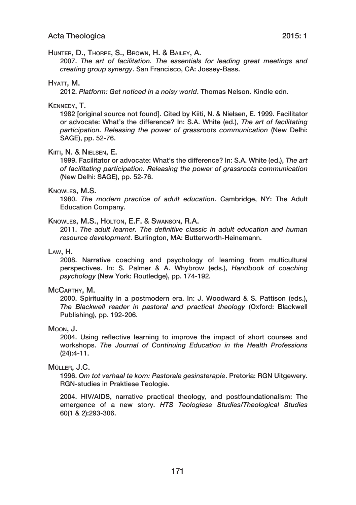#### Hunter, D., Thorpe, S., Brown, H. & Bailey, A.

2007. *The art of facilitation. The essentials for leading great meetings and creating group synergy*. San Francisco, CA: Jossey‑Bass.

#### Hyatt, M.

2012. *Platform: Get noticed in a noisy world*. Thomas Nelson. Kindle edn.

#### Kennedy, T.

1982 [original source not found]. Cited by Kiiti, N. & Nielsen, E. 1999. Facilitator or advocate: What's the difference? In: S.A. White (ed.), *The art of facilitating participation. Releasing the power of grassroots communication* (New Delhi: SAGE), pp. 52‑76.

#### KIITI, N. & NIELSEN, E.

1999. Facilitator or advocate: What's the difference? In: S.A. White (ed.), *The art of facilitating participation. Releasing the power of grassroots communication*  (New Delhi: SAGE), pp. 52‑76.

#### Knowles, M.S.

1980. *The modern practice of adult education*. Cambridge, NY: The Adult Education Company.

#### Knowles, M.S., Holton, E.F. & Swanson, R.A.

2011. *The adult learner. The definitive classic in adult education and human resource development*. Burlington, MA: Butterworth‑Heinemann.

#### Law, H.

2008. Narrative coaching and psychology of learning from multicultural perspectives. In: S. Palmer & A. Whybrow (eds.), *Handbook of coaching psychology* (New York: Routledge), pp. 174‑192.

#### McCARTHY, M.

2000. Spirituality in a postmodern era. In: J. Woodward & S. Pattison (eds.), *The Blackwell reader in pastoral and practical theology* (Oxford: Blackwell Publishing), pp. 192‑206.

#### Moon, J.

2004. Using reflective learning to improve the impact of short courses and workshops. *The Journal of Continuing Education in the Health Professions*  $(24):4-11.$ 

#### Müller, J.C.

1996. *Om tot verhaal te kom: Pastorale gesinsterapie*. Pretoria: RGN Uitgewery. RGN‑studies in Praktiese Teologie.

2004. HIV/AIDS, narrative practical theology, and postfoundationalism: The emergence of a new story. *HTS Teologiese Studies/Theological Studies* 60(1 & 2):293‑306.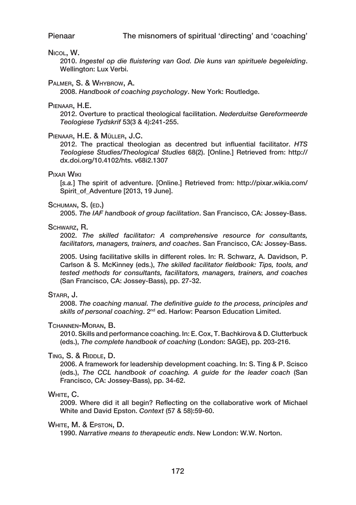#### Nicol, W.

2010. *Ingestel op die fluistering van God. Die kuns van spirituele begeleiding*. Wellington: Lux Verbi.

#### Palmer, S. & Whybrow, A.

2008. *Handbook of coaching psychology*. New York: Routledge.

#### Pienaar, H.E.

2012. Overture to practical theological facilitation. *Nederduitse Gereformeerde Teologiese Tydskrif* 53(3 & 4):241‑255.

#### Pienaar, H.E. & Müller, J.C.

2012. The practical theologian as decentred but influential facilitator. *HTS Teologiese Studies/Theological Studies* 68(2). [Online.] Retrieved from: http:// dx.doi.org/10.4102/hts. v68i2.1307

#### Pixar Wiki

[*s.a.*] The spirit of adventure. [Online.] Retrieved from: http://pixar.wikia.com/ Spirit\_of\_Adventure [2013, 19 June].

#### SCHUMAN, S. (FD.)

2005. *The IAF handbook of group facilitation*. San Francisco, CA: Jossey‑Bass.

#### Schwarz, R.

2002. *The skilled facilitator: A comprehensive resource for consultants, facilitators, managers, trainers, and coaches*. San Francisco, CA: Jossey‑Bass.

2005. Using facilitative skills in different roles. In: R. Schwarz, A. Davidson, P. Carlson & S. McKinney (eds.), *The skilled facilitator fieldbook: Tips, tools, and tested methods for consultants, facilitators, managers, trainers, and coaches*  (San Francisco, CA: Jossey‑Bass), pp. 27‑32.

#### Starr, J.

2008. *The coaching manual. The definitive guide to the process, principles and*  skills of personal coaching. 2<sup>nd</sup> ed. Harlow: Pearson Education Limited.

#### Tchannen‑Moran, B.

2010. Skills and performance coaching. In: E. Cox, T. Bachkirova & D. Clutterbuck (eds.), *The complete handbook of coaching* (London: SAGE), pp. 203‑216.

#### Ting, S. & Riddle, D.

2006. A framework for leadership development coaching. In: S. Ting & P. Scisco (eds.), *The CCL handbook of coaching. A guide for the leader coach* (San Francisco, CA: Jossey‑Bass), pp. 34‑62.

#### WHITE, C.

2009. Where did it all begin? Reflecting on the collaborative work of Michael White and David Epston. *Context* (57 & 58):59‑60.

#### White, M. & Epston, D.

1990. *Narrative means to therapeutic ends*. New London: W.W. Norton.